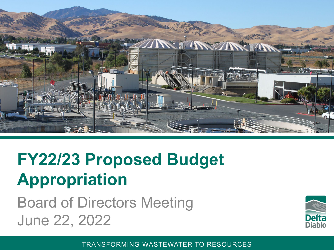

### **FY22/23 Proposed Budget Appropriation**

Board of Directors Meeting June 22, 2022

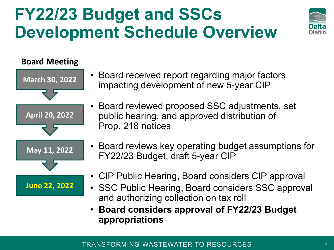### **FY22/23 Budget and SSCs Development Schedule Overview**



#### **Board Meeting**



- Board received report regarding major factors impacting development of new 5-year CIP
- Board reviewed proposed SSC adjustments, set public hearing, and approved distribution of Prop. 218 notices
- Board reviews key operating budget assumptions for FY22/23 Budget, draft 5-year CIP
- CIP Public Hearing, Board considers CIP approval
- SSC Public Hearing, Board considers SSC approval and authorizing collection on tax roll
- **Board considers approval of FY22/23 Budget appropriations**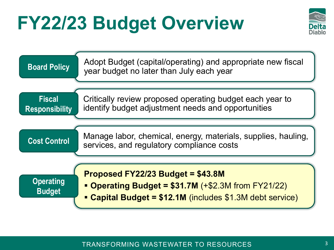# **FY22/23 Budget Overview**



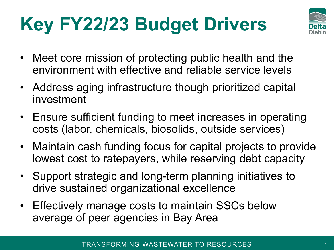# **Key FY22/23 Budget Drivers**



- Meet core mission of protecting public health and the environment with effective and reliable service levels
- Address aging infrastructure though prioritized capital investment
- Ensure sufficient funding to meet increases in operating costs (labor, chemicals, biosolids, outside services)
- Maintain cash funding focus for capital projects to provide lowest cost to ratepayers, while reserving debt capacity
- Support strategic and long-term planning initiatives to drive sustained organizational excellence
- Effectively manage costs to maintain SSCs below average of peer agencies in Bay Area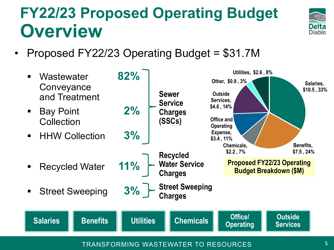#### **FY22/23 Proposed Operating Budget Overview**



• Proposed FY22/23 Operating Budget = \$31.7M



TRANSFORMING WASTEWATER TO RESOURCES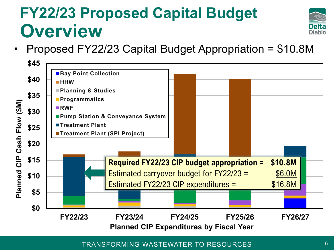#### **FY22/23 Proposed Capital Budget Overview**



• Proposed FY22/23 Capital Budget Appropriation = \$10.8M

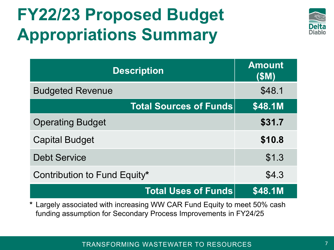# **FY22/23 Proposed Budget Appropriations Summary**



| <b>Description</b>            | <b>Amount</b><br>(\$M) |  |
|-------------------------------|------------------------|--|
| <b>Budgeted Revenue</b>       | \$48.1                 |  |
| <b>Total Sources of Funds</b> | \$48.1M                |  |
| <b>Operating Budget</b>       | \$31.7                 |  |
| <b>Capital Budget</b>         | \$10.8                 |  |
| <b>Debt Service</b>           | \$1.3                  |  |
| Contribution to Fund Equity*  | \$4.3                  |  |
| <b>Total Uses of Funds</b>    | <b>\$48.1M</b>         |  |

**\*** Largely associated with increasing WW CAR Fund Equity to meet 50% cash funding assumption for Secondary Process Improvements in FY24/25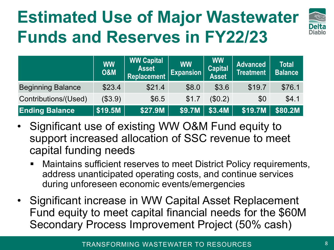# **Estimated Use of Major Wastewater Funds and Reserves in FY22/23**



|                          | <b>WW</b><br><b>O&amp;M</b> | <b>WW Capital</b><br><b>Asset</b><br><b>Replacement</b> | <b>WW</b><br><b>Expansion</b> | <b>WW</b><br><b>Capital</b><br><b>Asset</b> | <b>Advanced</b><br><b>Treatment</b> | <b>Total</b><br><b>Balance</b> |
|--------------------------|-----------------------------|---------------------------------------------------------|-------------------------------|---------------------------------------------|-------------------------------------|--------------------------------|
| <b>Beginning Balance</b> | \$23.4                      | \$21.4                                                  | \$8.0                         | \$3.6                                       | \$19.7                              | \$76.1                         |
| Contributions/(Used)     | (\$3.9)                     | \$6.5                                                   | \$1.7                         | (\$0.2)                                     | \$0                                 | \$4.1                          |
| <b>Ending Balance</b>    | \$19.5M                     | \$27.9M                                                 | \$9.7M                        | \$3.4M                                      | \$19.7M                             | \$80.2M                        |

- Significant use of existing WW O&M Fund equity to support increased allocation of SSC revenue to meet capital funding needs
	- Maintains sufficient reserves to meet District Policy requirements, address unanticipated operating costs, and continue services during unforeseen economic events/emergencies
- Significant increase in WW Capital Asset Replacement Fund equity to meet capital financial needs for the \$60M Secondary Process Improvement Project (50% cash)